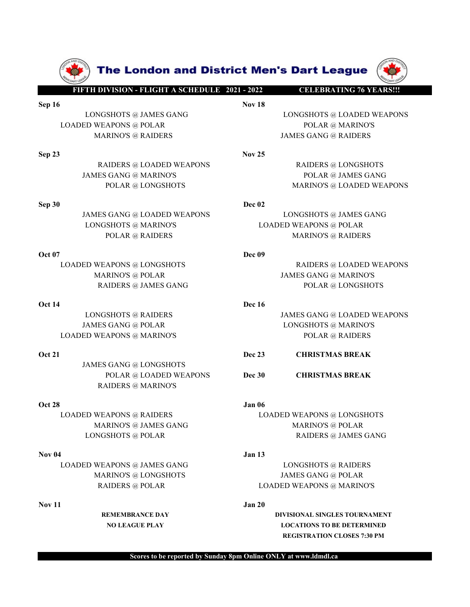

JAMES GANG @ LONGSHOTS RAIDERS @ MARINO'S

LOADED WEAPONS @ LOADED WEAPONS @ LOADED WEAPONS @ LOADED WEAPONS @ TALLERS @ JAMES GANG @ JAMES GANG @ JAMES GANG @ JAMES GANG @ JAMES GANG @ JAMES GANG @ JAMES GANG @ RAIDERS .<br>
JAMES GANG @ JAMES GANG @ JAMES GANG @ JAM 1. DANES HAMES (ANG. 6 LOADED WEAPONS<br>
JAMES (ANG. 6 LOADED WEAPONS<br>
DOL21<br>
JAMES GANG @ LONGSHOTS<br>
POLAR (BLOADED WEAPONS<br>
POLAR (BLOADED WEAPONS<br>
POLAR (BLOADED WEAPONS<br>
MARINOS<br>
OOL23<br>
LOADED WEAPONS ® RAIDERS<br>
MARINO

# MARINO'S @ JAMES GANG @ LOADED WEAPONS<br>
MEAPONS @ POLAR @ MARINO'S @ RAIDERS<br>
MARINO'S @ RAIDERS<br>
MARINO'S @ RAIDERS<br>
MARINO'S @ RAIDERS<br>
MARINO'S @ MARINO'S<br>
POLAR @ JAMES GANG @ JAMES GANG @ MARINO'S<br>
POLAR @ JAMES GANG **ELEBRATING 76 VEARS!!!**<br>
NGSHOTS @ JAMES GANG POLAR POLAR POLAR POLAR @ LONGSHOTS @ JAMES GANG POLAR POLAR @ JAMES GANG WARINO'S<br>
FEAPON'S @ RAIDERS<br>
RAIDERS @ LOADED WEAPONS<br>
POLAR @ LONGSHOTS<br>
POLAR @ LONGSHOTS<br>
POLAR @ SEP 19<br>
DONGSHOTS @ JAMES GANG<br>
LOADED WEAPONS<br>
MENCONS @ POLAR<br>
MENOS @ RAIDERS<br>
SEP 23<br>
NAMES GANG @ LOADED WEAPONS<br>
MENOS @ MARINOS<br>
POLAR @ DANES GANG @ DONGSHOTS<br>
POLAR @ DANES GANG @ DANES GANG<br>
DONGSHOTS © MARINOS<br> LONGSHOTS @ MARINOS @ POLAR @ LOADED WEAPONS @ RAIDERS **RAIDERS @ LOADED WEAPONS**<br>
MARINOS @ RAIDERS **RAIDERS EXANG @ RAIDERS**<br> **EXAIDERS @ LOADED WEAPONS**<br> **EXAIDERS @ LOADED WEAPONS**<br> **EXAIDERS @ LOADED WEAPONS**<br> **EXAI**  $\mu$ MARINO'S @ RAIDERS (ADADED WEAPONS<br>
MARINO'S @ RAIDERS (ADADED WEAPONS<br>
MARINO'S @ RAIDERS (ADADED WEAPONS<br>
POLAR @ LONGSHOTS<br>
JAMES GANG @ LOADED WEAPONS<br>
LONGSHOTS & RAIRINO'S & LOADED WEAPONS<br>
MARINO'S @ LORGSHOTS<br> RAIDERS @ LOADED WEAPONS<br>
MES GANG @ MARINO'S<br>
DUAR @ LONGSHOTS<br>
DUAR @ LONGSHOTS<br>
DUAR @ LONGSHOTS<br>
DUAR @ LONGSHOTS<br>
DUAR @ MARINO'S<br>
DUAR @ LONGSHOTS<br>
DUAR @ MARINO'S<br>
DUAR @ MARINO'S @ POLAR<br>
DUAR @ MARINO'S @ POLAR<br>
M

SOLAR<br>
FRIDERS @ LOADED WEAPONS<br>
MARINOS GANG @ MARINOS<br>
DOCAR @ LOADED WEAPONS<br>
DOCAR & LOADED WEAPONS<br>
DOCAR DOCAR COLORED MEARCONS<br>
DOCAR DOCAR COLORED MEAR COLORED WEAPONS<br>
DOCAR COLORED MEAR COLORED MEAR COLORED MEAR VOKO MARINOS (MARINOS CLOADED WEAPONS<br>
POLAR @ LOADED WEAPONS<br>
POLAR @ AAIRONS<br>
POLAR @ MARINOS DECAR<br>
POLAR @ MARINOS DECAR<br>
POLAR @ MARINOS<br>
APONS @ LONGSHOTS<br>
Dec 09<br>
MARINOS @ RAIDERS<br>
APONS @ LOADED WEAPONS<br>
Dec 16<br>
J SAMES GANG @ LOADED WEAPONS<br>
LONGSHOTS @ MARINOS<br>
DOLAR @ KARIDERS<br>
DOLAR POLAR & RAIDERS<br>
DOLAR MARINOS ANDERS<br>
DOLAR MARING MARING BOLAR<br>
LONGSHOTS WEADNERS<br>
DOLAR DONGSHOTS<br>
DOLAR DONGSHOTS<br>
LONGSHOTS @ MARINOS<br>
DOLAR LOADED WEAPONS @ DOLOR (DANGSHOTS POLAR @ LOADED WEAPONS @ RAIDERS ANDERS (DANGSHOTS POLAR CONGERENCE)<br>
LOADED WEAPONS @ DOLOR<br>
MARINOS @ POLAR<br>
LOADED WEAPONS @ LONGSHOTS<br>
MARINOS @ POLAR<br>
LOADED WEAPONS @ RAIDERS<br>
LOADED MARINO'S @ MARINO'S @ MARINO'S @ NAMES SANG MARINO'S @ POLAR<br>
MARINO'S @ POLAR<br>
MARINO'S @ POLAR<br>
MARINO'S @ POLAR<br>
MARINO'S @ POLAR<br>
MES GANG @ DOLAR<br>
MES GANG @ DOLAR<br>
MES GANG @ LONGHOTS<br>
MES GANG @ LONGHOTS<br>
MES GANG @ LONGSHOTS @ LONGSHOTS<br>
DERER @ POLAR RAIDERS @ POLAR<br>
NARINOS @ POLAR RAIDERS @ JAMES GANG POLAR RAIDERS @ JAMES GANG POLAR RAIDERS @ JAMES GANG POLAR RAIDERS & JAMES GANG POLAR LONGSHOTS<br>
LONGSHOTS @ RAIDERS<br>
DER DER ES A NADIED WEAPONS @ LONGSHOTS<br>
MARINOS @ FOLAR<br>
MARINOS @ POLAR<br>
DON 14<br>
LONGSHOTS @ RAIDERS<br>
DON 14<br>
LONGSHOTS ® RAIDERS<br>
LONGSHOTS ® RAIDERS<br>
LONDED WEAPONS<br>
MARINOS<br>
DON 21<br>
MMES GANG @ LONGSHOTS<br>
POLAR © LONGED WEAPONS<br>

MARINO'S @ TOLAR<br>
MARINERS @ JAMES GANG **DOLAR DESPAINS (ELONGSHOTS**)<br>
MES GANG @ POLAR **DESPAINS CANG @ LONGSHOTS**<br>
MES GANG @ DOLAR **DESPAINS DESPAINS CANG @ LONGSHOTS**<br>
MEAPONS @ NARINO'S<br> **DECES ANG @ LONGSHOTS**<br>
POLAR RAIDERS @ RAIDERS<br>
REAPONS @ POLAR LONGSHOTS @ MARINO'S<br>
ES GANG @ POLAR LONGSHOTS @ MARINO'S<br>
POLAR @ RAIDERS POLAR & RAIDERS<br>
POLAR @ RAIDERS POLAR & RAIDERS<br>
RAIDERS @ MARINO'S<br>
WEAPONS @ RAIDERS<br>
MARINO'S @ POLAR<br>
MARI

- 
- 

STAND THE MANUES ON THE MANUES ON THE MANUES ON THE MANUES ON THE MANUES ON A RAIDERS<br>
STANG & DONGSHOTS<br>
POLAR & RAIDERS<br>
POLAR & RAIDERS<br>
POLAR & RAIDERS<br>
POLAR & RAIDERS<br>
MARINOS & PAINES GANG<br>
MARINOS & DAMES GANG<br>
MAR ENGUS CHEAR CORRESS (BOLOGNOS CHEAR CORRESS CHEAR CONGENERATIONS CONCRETE PLAY CONDED WELL AND EXERCUSE AN APONS CHEAR CONCENTRATIONS CHEAR CONCENTRATIONS TO BE DETERMINED AND CONSIDERS TO BE DETERMINED AND CONSIDERS TO BE

REGISTRATION CLOSES 7:30 PM

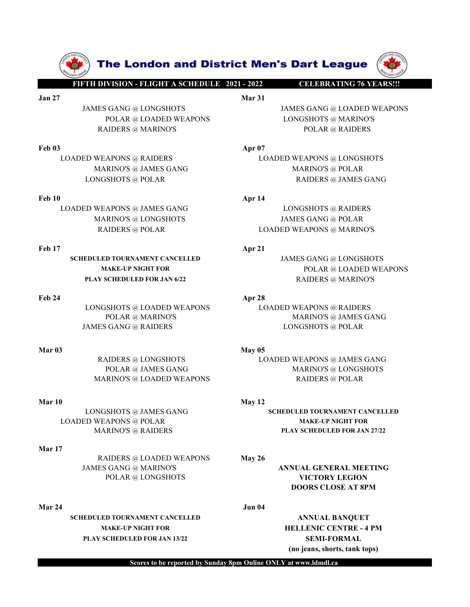

SCHEDULED TOURNAMENT CANCELLED JAMES GANG @ LONGSHOTS PLAY SCHEDULED FOR JAN 6/22 RAIDERS @ MARINO'S

LOADED WEAPONS @ POLAR MAKE-UP NIGHT FOR

# Mar 17

RAIDERS @ LOADED WEAPONS May 26 JAMES GANG @ MARINO'S **ANNUAL GENERAL MEETING** POLAR @ LONGSHOTS VICTORY LEGION

SCHEDULED TOURNAMENT CANCELLED ANNUAL BANQUET MAKE-UP NIGHT FOR **HELLENIC CENTRE - 4 PM** PLAY SCHEDULED FOR JAN 13/22 SEMI-FORMAL

**FIFTH DIVISION - FLIGHT A SCHEDULE 2021 - 2022**<br>
FIFTH DIVISION - FLIGHT A SCHEDULE 2021 - 2022<br>
Mar 31<br>
JAMES GANG @ LOADED WEAPONS<br>
POLAR @ LOADED WEAPONS<br>
RAIDERS @ MARINO'S<br>
POLAR @ RAIDERS The London and District Men's Dart League<br>
THEIHDIVISION-FEIGHT ASCHIDULE 2021-2022<br>
JAMES GANG @ LONGSHOTS<br>
POLAR @ LONGSHOTS<br>
POLAR @ MARINOS<br>
RAIDERS @ MARINOS<br>
Feb 03<br>
Feb 03<br>
And 27<br>
JAMES GANG MARINOS<br>
POLAR @ MARINO **The London and District Men's Dart League (WARRAINT)**<br> **JAMES GANG @ LONGSHOTS**<br>
JAMES GANG @ LONGSHOTS<br>
POLAR @ LOADED WEAPONS<br>
POLAR @ MARINOS<br>
POLAR @ MARINOS<br>
POLAR @ RAIDERS<br>
FOLAR @ RAIDERS<br>
FOLAR @ RAIDERS<br>
FOLAR **he London and District Men's Dart League (WARRON-FLIGHTA SCHEDULE 2021-2022**<br>
Mar 31<br>
GANG @ LONGSHOTS MARINO'S DOLAR @ LOADED WEAPONS<br>
POLAR @ LOADED WEAPONS LONGSHOTS @ MARINO'S<br>
MDONS @ RAIDERS APP<sup>07</sup><br>
MAPONS @ RAIDER **The London and District Men's Dart League<br>
DIVISION-FLIGHT ASCHEDULE 2021-2022<br>
ES GANG @ LONGSHOTS<br>
POLAR @ LOADED WEAPONS<br>
POLAR @ LOADED WEAPONS<br>
RAIDERS @ MARINO'S<br>
POLAR @ RAIDERS<br>
PEAPONS @ RAIDERS<br>
APP<sup>07</sup><br>
LOADED** 

**The London and District Men's Dart League**<br>
FITTIDIVISION-FLIGHT ASCHEDULE 2021-2022<br>
Mar<sup>31</sup><br>
JAMES GANG @ LONGSHOTS<br>
POLAR @ LOADED WEAPONS<br>
RAIDERS @ MARINOS<br>
RAIDERS @ MARINOS<br>
LOADED WEAPONS @ RAIDERS<br>
LOADED WEAPONS **LOADED WEAPONS @ LOADED WEAPONS @ LOADED WEAPONS @ LOADED WEAPONS ANDERS CANCED WEAPONS ARRIVES CANCED WEAPONS AND MARINOS ENGLANGED WEAPONS AND MARINOS CONGERED WEAPONS AND MARINOS AND MARINOS AND MARINOS AND MARINOS AND The London and District Men's Dart League**<br>
Marino Chapter (Mental Aschedule 2021–2022<br>
Marino Chapter (Mental Asched Weapons<br>
Marino's @ JAMES GANG @ LOADED WEAPONS<br>
MARINO'S @ MARINO'S<br>
MARINO'S @ RAIDERS<br>
MARINO'S @ JA **The London and District Men's Dart League**<br>
THE **DISTRIBUTE AND AND AND AND AND CONGERN AND AND CONGERN AND CONGERN AND RAIDERS**<br>
POLAR @ LOADED WEAPONS<br>
POLAR @ RAIDERS<br>
DISTRIBUTES @ MARINOS<br>
DISTRIBUTES @ MARINOS<br>
DIST **EXERCISE THE UP ANDERS ARE SERVED AND MANUS AND AREA CONGERED.**<br>
FEB 10 AMES GANG @ LONGERED WEAPONS<br>
FOLAR @ LONDED WEAPONS<br>
FOLAR @ LONDED WEAPONS<br>
FOLAR & LONDED WEAPONS<br>
FOLAR & RAIDERS<br>
MARINOS & MARINOS<br>
MARINOS & **LOADED WEAPONS @ LONGSHOTS**<br>
Material Scans of Density of the Company of the Company of the Company of the Company of the Company of the Company of the Company of the Company of the Company of the Company of the Company **The London and District Men's Dart League (W)**<br>
MARIS GANG @ LONGSHOTS MARINO<br>
MARINO'S MARINO'S MARINO'S POLAR & DARINOTS & MARINO'S<br>
POLAR & LONGSHOTS ANDERS<br>
POLAR & LONGSHOTS AND MARINO'S POLAR & MARINOS<br>
MARINO'S & **The London and District Men's Dart League (Warry Control of American Schemating 76 versus and Schemating 76 versus and American Schemating 76 versus and American Schemating 76 versus and MARINO'S<br>
ES GANG @ LOADED WEAPONS FREE SET AND THE LOAD ED MANUS (SET AND AND FAIR 2013)**<br>
JAMES GANG (ALONG SHOTS)<br>
JAMES GANG ALONG SHOTS<br>
FREE AND ENGLISHED WEAPONS<br>
TONGED WEAPONS (SECOND WEAPONS<br>
TONGED WEAPONS & RAIDERS<br>
LOADED WEAPONS & RAIDERS<br>
M FOLAR @ LOADED WEAPONS<br>
FOLAR @ LOADED WEAPONS<br>
FOLAR @ LOADED WEAPONS<br>
RAIDERS @ MARINOS<br>
FOLAR DOLSED WEAPONS<br>
MARINOS # APRIPERS<br>
MARINOS # APRIPERS<br>
MARINOS # APRIPERS<br>
MARINOS # APRIPERS<br>
MARINOS # APRIPERS<br>
MARINOS # ENGLISSION WEAPONS @ LONGEROUS<br>
POLAR @ LOADED WEAPONS<br>
POLAR @ LOADED WEAPONS @ LONGEROUS<br>
LONGSHOTS @ RAIDERS<br>
MARINO'S @ JAMES GANG<br>
LONGSHOTS @ JAMES GANG<br>
D WEAPONS @ JAMES GANG<br>
D WEAPONS @ JAMES GANG<br>
MARINO'S @ LON POLAR @ LOADED WEAPONS<br>
MERS @ MARINO'S<br>
MARINO'S @ RAIDERS<br>
MARINO'S @ JAMES GANG<br>
MARINO'S @ JAMES GANG<br>
MARINO'S @ JAMES GANG<br>
MARINO'S @ JAMES GANG<br>
MARINO'S @ JAMES GANG<br>
MARINO'S @ DOLAR<br>
MARINO'S @ DOLAR<br>
POLAR @ DO RAIDERS @ MARINOS **and the set of the set of the set of the set of the set of the set of the set of the set of the set of the set of the set of the set of the set of the set of the set of the set of the set of the set of** LOADED WEAPONS @ JAMES GANG<br>
MARINOS @ JAMES GANG<br>
MARINOS @ JAMES GANG<br>
LOADED WEAPONS @ JAMES GANG<br>
MARINOS @ LONGSHOTS<br>
MARINOS @ LONGSHOTS<br>
MARINOS @ LONGSHOTS<br>
MARINOS @ LONGSHOTS<br>
MARINOS @ LOADED WEAPONS<br>
MARINOS PO

MAKE-UP NIGHT FOR **POLAR @ LOADED WEAPONS** ENDERS @ LOADED WEAPONS<br>
RAINDO'S @ JAMES GANG<br>
RAINDO'S @ JAMES GANG<br>
RAINDO'S @ JAMES GANG<br>
ARINO'S @ LONGSHOTS<br>
MARINO'S @ LONGSHOTS<br>
MARINO'S @ LONGSHOTS<br>
IOADED WEAPONS @ MARINO'S<br>
IN TOURNAMENT CANCELLED<br>
MAKE-LY NIG ENO'S @ JAMES GANG MARINO'S @ POLAR<br>
RAIDERS @ JAMES GANG<br>
RAIDERS @ JAMES GANG<br>
RINDERS @ LONGSHOTS<br>
MARINO'S @ LONGSHOTS<br>
MARINO'S @ LONGSHOTS<br> **POLAR @ JAMES GANG MARINO'S**<br>
POLAR @ JAMES GANG MARINO'S<br>
POLAR @ JAMES CH MARINO'S @ JAMES GANG<br>
MARINO'S @ LONGSHOTS<br>
MARINO'S @ LONGSHOTS<br>
MARINO'S @ LONGSHOTS<br>
MARINO'S @ LOADED WEAPONS & MARINO'S<br>
MARINO'S MARINO'S<br>
MARINO'S & LOADED WEAPONS<br>
MARINO'S<br>
POLAR @ MARINO'S<br>
POLAR & MARINO'S<br>
POL LOADED WEAPONS (A MARINOS (A MARINOS ARAIDERS OF DONGSHOTS ARAIDERS ARAIDERS ARAIDERS ARAIDERS ARAIDERS ARAIDERS ARAIDERS ARAIDERS ARAIDERS (A MARINOS POLAR ARAINOS POLAR ARAINOS POLAR ARAINOS (A MARINOS ARAIDERS ARAIDERS

ENWISS SUBARRIVES<br>
POLAR @ IMARINOS<br>
MARINOS<br>
MARINOS<br>
MARINOS (LONGEIOTS @ DUAR<br>
MARINOS (LONGEIOTS & DUAR<br>
MARINOS & LONGEIOTS (DUAR<br>
MARINOS & LONGEIOTS (MARINOS ALAMES GANG<br>
MARINOS & LONGEIOTS (MARINOS & LONGEIOTS MAR

LONGSHOTS @ JAMES GANG SCHEDULED TOURNAMENT CANCELLED MARINO'S @ RAIDERS PLAY SCHEDULED FOR JAN 27/22

DOORS CLOSE AT 8PM

(no jeans, shorts, tank tops)

Scores to be reported by Sunday 8pm Online ONLY at www.ldmdl.ca